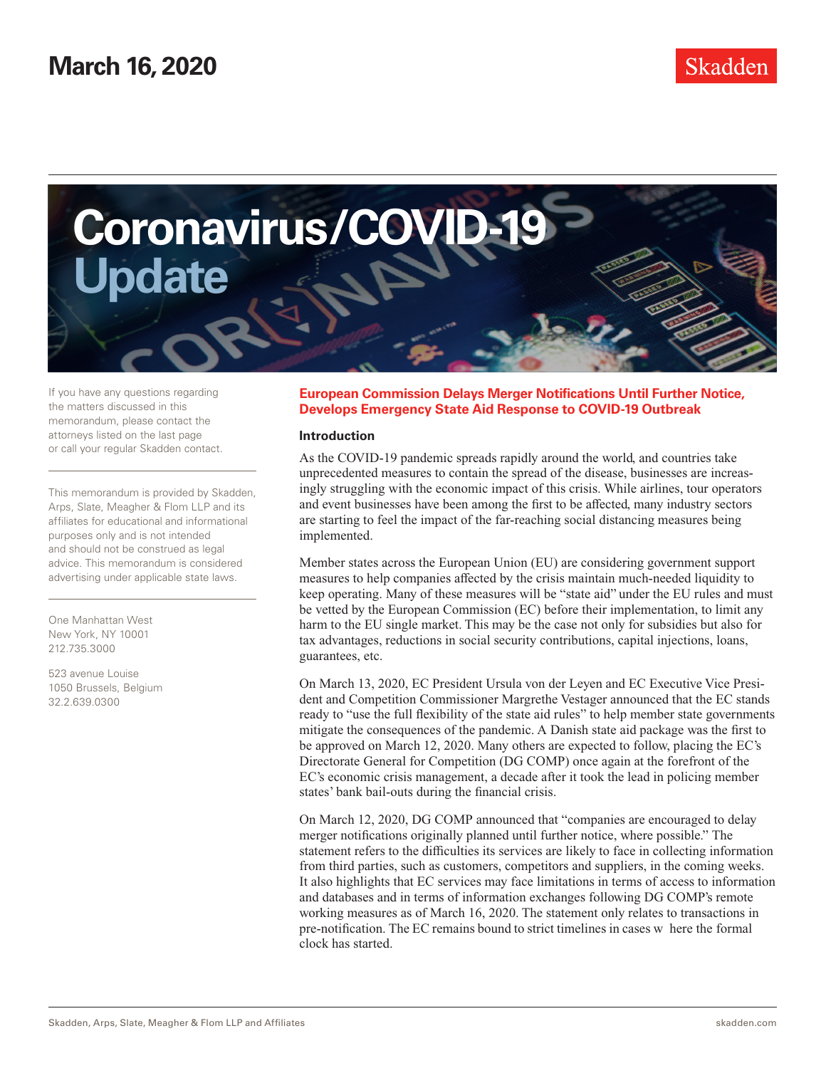

If you have any questions regarding the matters discussed in this memorandum, please contact the attorneys listed on the last page or call your regular Skadden contact.

This memorandum is provided by Skadden, Arps, Slate, Meagher & Flom LLP and its affiliates for educational and informational purposes only and is not intended and should not be construed as legal advice. This memorandum is considered advertising under applicable state laws.

One Manhattan West New York, NY 10001 212.735.3000

523 avenue Louise 1050 Brussels, Belgium 32.2.639.0300

## **European Commission Delays Merger Notifications Until Further Notice, Develops Emergency State Aid Response to COVID-19 Outbreak**

### **Introduction**

As the COVID-19 pandemic spreads rapidly around the world, and countries take unprecedented measures to contain the spread of the disease, businesses are increasingly struggling with the economic impact of this crisis. While airlines, tour operators and event businesses have been among the first to be affected, many industry sectors are starting to feel the impact of the far-reaching social distancing measures being implemented.

Member states across the European Union (EU) are considering government support measures to help companies affected by the crisis maintain much-needed liquidity to keep operating. Many of these measures will be "state aid" under the EU rules and must be vetted by the European Commission (EC) before their implementation, to limit any harm to the EU single market. This may be the case not only for subsidies but also for tax advantages, reductions in social security contributions, capital injections, loans, guarantees, etc.

On March 13, 2020, EC President Ursula von der Leyen and EC Executive Vice President and Competition Commissioner Margrethe Vestager announced that the EC stands ready to "use the full flexibility of the state aid rules" to help member state governments mitigate the consequences of the pandemic. A Danish state aid package was the first to be approved on March 12, 2020. Many others are expected to follow, placing the EC's Directorate General for Competition (DG COMP) once again at the forefront of the EC's economic crisis management, a decade after it took the lead in policing member states' bank bail-outs during the financial crisis.

On March 12, 2020, DG COMP announced that "companies are encouraged to delay merger notifications originally planned until further notice, where possible." The statement refers to the difficulties its services are likely to face in collecting information from third parties, such as customers, competitors and suppliers, in the coming weeks. It also highlights that EC services may face limitations in terms of access to information and databases and in terms of information exchanges following DG COMP's remote working measures as of March 16, 2020. The statement only relates to transactions in pre-notification. The EC remains bound to strict timelines in cases w here the formal clock has started.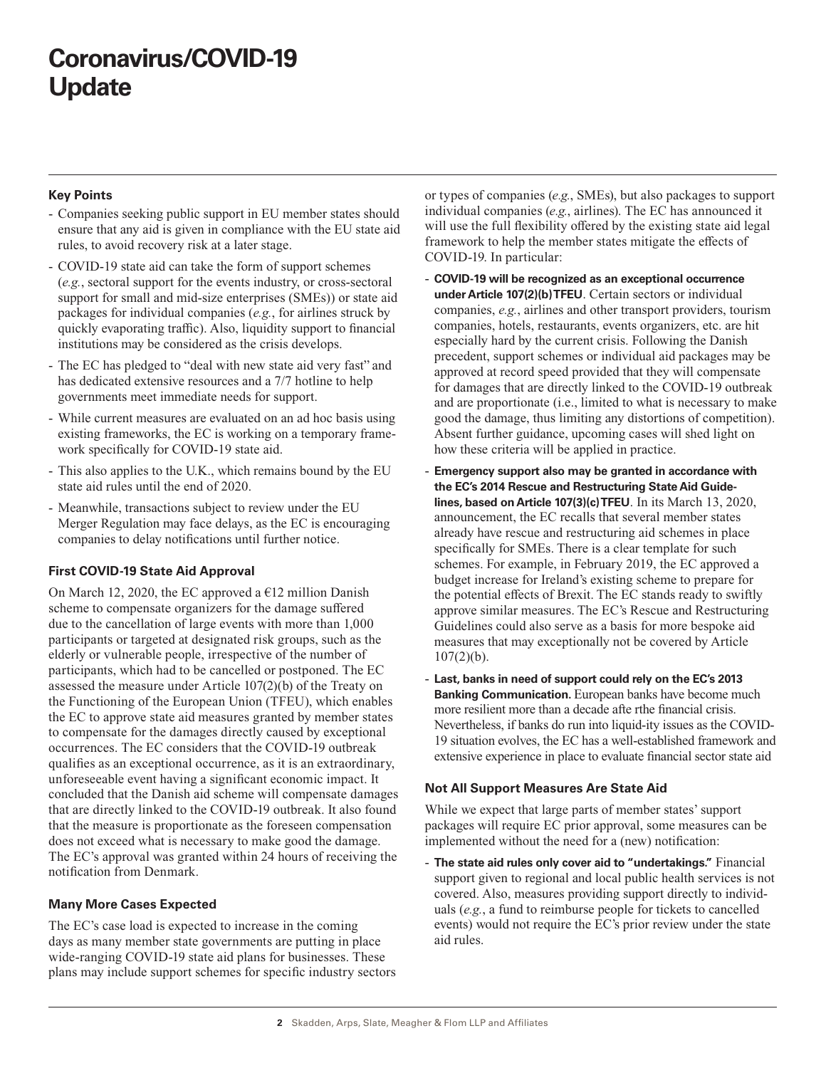# **Coronavirus/COVID-19 Update**

## **Key Points**

- Companies seeking public support in EU member states should ensure that any aid is given in compliance with the EU state aid rules, to avoid recovery risk at a later stage.
- COVID-19 state aid can take the form of support schemes (*e.g.*, sectoral support for the events industry, or cross-sectoral support for small and mid-size enterprises (SMEs)) or state aid packages for individual companies (*e.g.*, for airlines struck by quickly evaporating traffic). Also, liquidity support to financial institutions may be considered as the crisis develops.
- The EC has pledged to "deal with new state aid very fast" and has dedicated extensive resources and a 7/7 hotline to help governments meet immediate needs for support.
- While current measures are evaluated on an ad hoc basis using existing frameworks, the EC is working on a temporary framework specifically for COVID-19 state aid.
- This also applies to the U.K., which remains bound by the EU state aid rules until the end of 2020.
- Meanwhile, transactions subject to review under the EU Merger Regulation may face delays, as the EC is encouraging companies to delay notifications until further notice.

## **First COVID-19 State Aid Approval**

On March 12, 2020, the EC approved a  $E12$  million Danish scheme to compensate organizers for the damage suffered due to the cancellation of large events with more than 1,000 participants or targeted at designated risk groups, such as the elderly or vulnerable people, irrespective of the number of participants, which had to be cancelled or postponed. The EC assessed the measure under Article 107(2)(b) of the Treaty on the Functioning of the European Union (TFEU), which enables the EC to approve state aid measures granted by member states to compensate for the damages directly caused by exceptional occurrences. The EC considers that the COVID-19 outbreak qualifies as an exceptional occurrence, as it is an extraordinary, unforeseeable event having a significant economic impact. It concluded that the Danish aid scheme will compensate damages that are directly linked to the COVID-19 outbreak. It also found that the measure is proportionate as the foreseen compensation does not exceed what is necessary to make good the damage. The EC's approval was granted within 24 hours of receiving the notification from Denmark.

## **Many More Cases Expected**

The EC's case load is expected to increase in the coming days as many member state governments are putting in place wide-ranging COVID-19 state aid plans for businesses. These plans may include support schemes for specific industry sectors or types of companies (*e.g.*, SMEs), but also packages to support individual companies (*e.g.*, airlines). The EC has announced it will use the full flexibility offered by the existing state aid legal framework to help the member states mitigate the effects of COVID-19. In particular:

- **COVID-19 will be recognized as an exceptional occurrence under Article 107(2)(b) TFEU**. Certain sectors or individual companies, *e.g.*, airlines and other transport providers, tourism companies, hotels, restaurants, events organizers, etc. are hit especially hard by the current crisis. Following the Danish precedent, support schemes or individual aid packages may be approved at record speed provided that they will compensate for damages that are directly linked to the COVID-19 outbreak and are proportionate (i.e., limited to what is necessary to make good the damage, thus limiting any distortions of competition). Absent further guidance, upcoming cases will shed light on how these criteria will be applied in practice.
- **Emergency support also may be granted in accordance with the EC's 2014 Rescue and Restructuring State Aid Guidelines, based on Article 107(3)(c) TFEU**. In its March 13, 2020, announcement, the EC recalls that several member states already have rescue and restructuring aid schemes in place specifically for SMEs. There is a clear template for such schemes. For example, in February 2019, the EC approved a budget increase for Ireland's existing scheme to prepare for the potential effects of Brexit. The EC stands ready to swiftly approve similar measures. The EC's Rescue and Restructuring Guidelines could also serve as a basis for more bespoke aid measures that may exceptionally not be covered by Article  $107(2)(b)$ .
- **Last, banks in need of support could rely on the EC's 2013 Banking Communication.** European banks have become much more resilient more than a decade afte rthe financial crisis. Nevertheless, if banks do run into liquid-ity issues as the COVID-19 situation evolves, the EC has a well-established framework and extensive experience in place to evaluate financial sector state aid

## **Not All Support Measures Are State Aid**

While we expect that large parts of member states' support packages will require EC prior approval, some measures can be implemented without the need for a (new) notification:

- **The state aid rules only cover aid to "undertakings."** Financial support given to regional and local public health services is not covered. Also, measures providing support directly to individuals (*e.g.*, a fund to reimburse people for tickets to cancelled events) would not require the EC's prior review under the state aid rules.